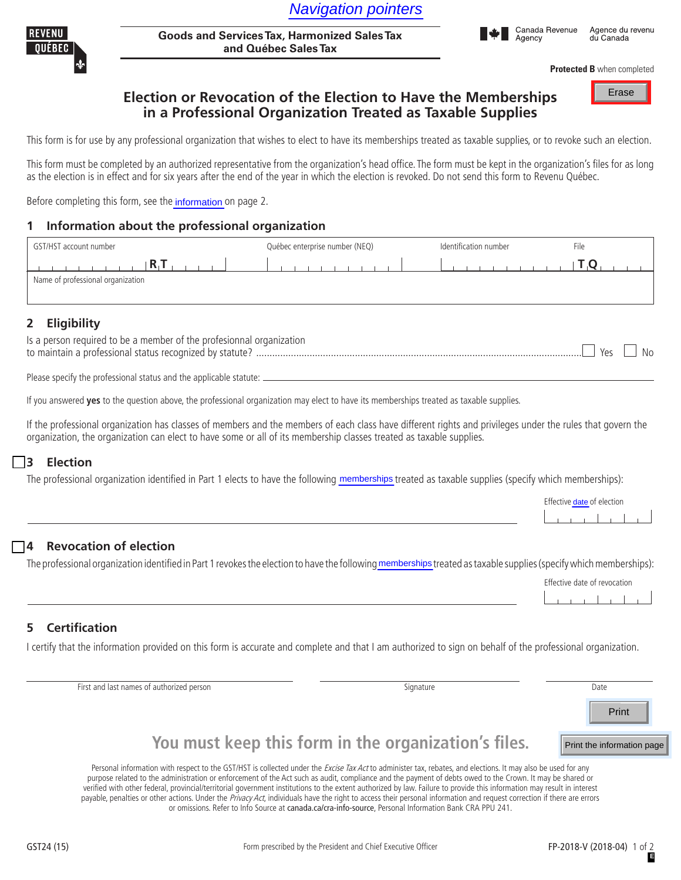

**Goods and Services Tax, Harmonized Sales Tax and Québec Sales Tax** Navigation pointers<br>
Harmonized Sales Tax<br>
Sales Tax<br>
Fibe Election to Have the Memberships<br>
Fine Election to Have the Memberships

**Protected B** when completed

# **Election or Revocation of the Election to Have the Memberships in a Professional Organization Treated as Taxable Supplies**

This form is for use by any professional organization that wishes to elect to have its memberships treated as taxable supplies, or to revoke such an election.

This form must be completed by an authorized representative from the organization's head office. The form must be kept in the organization's files for as long as the election is in effect and for six years after the end of the year in which the election is revoked. Do not send this form to Revenu Québec.

Before completing this form, see the information on page 2.

### **1** Information about the professional organization

| GST/HST account number                                                                                                                                                                                                                                                            | Québec enterprise number (NEQ)<br>Identification number                                                                                                                                                                                               |                   | File                       |
|-----------------------------------------------------------------------------------------------------------------------------------------------------------------------------------------------------------------------------------------------------------------------------------|-------------------------------------------------------------------------------------------------------------------------------------------------------------------------------------------------------------------------------------------------------|-------------------|----------------------------|
| $R_1$ $R_2$<br>Name of professional organization                                                                                                                                                                                                                                  | $\mathcal{L}^{\text{max}}$ and $\mathcal{L}^{\text{max}}$ . The set of the set of the set of the set of the set of the set of the set of the set of the set of the set of the set of the set of the set of the set of the set of the set of the set o | <b>CONTRACTOR</b> | $T_{\parallel}Q_{\perp}$   |
| <b>Eligibility</b><br>$\overline{2}$                                                                                                                                                                                                                                              |                                                                                                                                                                                                                                                       |                   |                            |
| Is a person required to be a member of the profesionnal organization                                                                                                                                                                                                              |                                                                                                                                                                                                                                                       |                   | Yes<br>-No                 |
|                                                                                                                                                                                                                                                                                   |                                                                                                                                                                                                                                                       |                   |                            |
| If you answered yes to the question above, the professional organization may elect to have its memberships treated as taxable supplies.                                                                                                                                           |                                                                                                                                                                                                                                                       |                   |                            |
| If the professional organization has classes of members and the members of each class have different rights and privileges under the rules that govern the<br>organization, the organization can elect to have some or all of its membership classes treated as taxable supplies. |                                                                                                                                                                                                                                                       |                   |                            |
| 13<br><b>Election</b>                                                                                                                                                                                                                                                             |                                                                                                                                                                                                                                                       |                   |                            |
| The professional organization identified in Part 1 elects to have the following memberships treated as taxable supplies (specify which memberships):                                                                                                                              |                                                                                                                                                                                                                                                       |                   |                            |
|                                                                                                                                                                                                                                                                                   |                                                                                                                                                                                                                                                       |                   | Effective date of election |

## **2 Eligibility**

| Is a person required to be a member of the profesionnal organization |           |
|----------------------------------------------------------------------|-----------|
| to maintain a professional status recognized by statute?.            | <b>No</b> |

#### **3 Election**

| . |  |  |  |
|---|--|--|--|
|   |  |  |  |
|   |  |  |  |

### **4 Revocation of election**

The professional organization identified in Part 1 revokes the election to have the following memberships treated as taxable supplies (specify which memberships):

| Effective date of revocation |  |  |  |  |  |  |  |
|------------------------------|--|--|--|--|--|--|--|
|                              |  |  |  |  |  |  |  |

### **5 Certification**

I certify that the information provided on this form is accurate and complete and that I am authorized to sign on behalf of the professional organization.

First and last names of authorized person (please print) Signature Signature prints) Signature part of the Date

Print

Print the information page

# **You must keep this form in the organization's files.**

Personal information with respect to the GST/HST is collected under the Excise Tax Act to administer tax, rebates, and elections. It may also be used for any purpose related to the administration or enforcement of the Act such as audit, compliance and the payment of debts owed to the Crown. It may be shared or verified with other federal, provincial/territorial government institutions to the extent authorized by law. Failure to provide this information may result in interest payable, penalties or other actions. Under the Privacy Act, individuals have the right to access their personal information and request correction if there are errors

or omissions. Refer to Info Source at canada.ca/cra-info-source, Personal Information Bank CRA PPU 241.